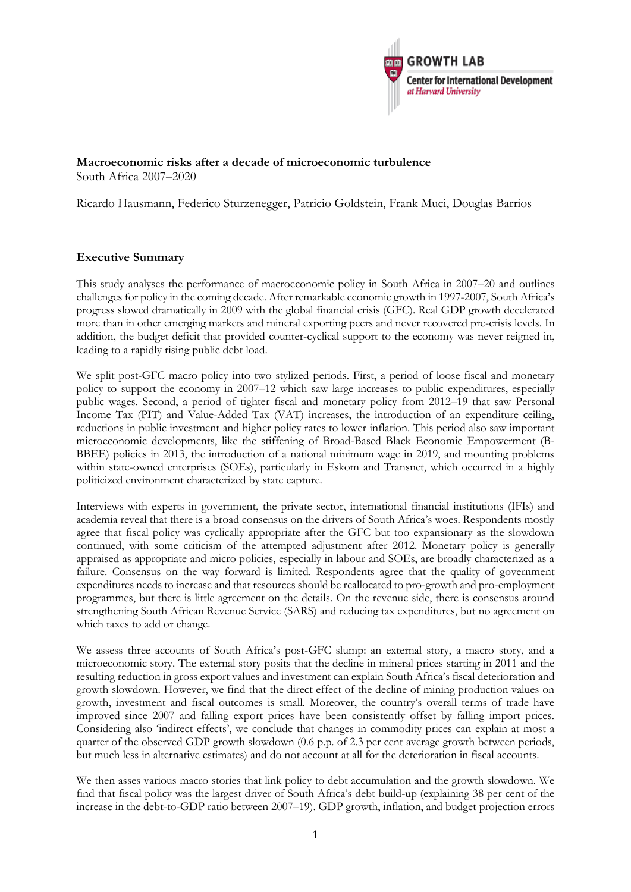

## **Macroeconomic risks after a decade of microeconomic turbulence**

South Africa 2007–2020

Ricardo Hausmann, Federico Sturzenegger, Patricio Goldstein, Frank Muci, Douglas Barrios

## **Executive Summary**

This study analyses the performance of macroeconomic policy in South Africa in 2007–20 and outlines challenges for policy in the coming decade. After remarkable economic growth in 1997-2007, South Africa's progress slowed dramatically in 2009 with the global financial crisis (GFC). Real GDP growth decelerated more than in other emerging markets and mineral exporting peers and never recovered pre-crisis levels. In addition, the budget deficit that provided counter-cyclical support to the economy was never reigned in, leading to a rapidly rising public debt load.

We split post-GFC macro policy into two stylized periods. First, a period of loose fiscal and monetary policy to support the economy in 2007–12 which saw large increases to public expenditures, especially public wages. Second, a period of tighter fiscal and monetary policy from 2012–19 that saw Personal Income Tax (PIT) and Value-Added Tax (VAT) increases, the introduction of an expenditure ceiling, reductions in public investment and higher policy rates to lower inflation. This period also saw important microeconomic developments, like the stiffening of Broad-Based Black Economic Empowerment (B-BBEE) policies in 2013, the introduction of a national minimum wage in 2019, and mounting problems within state-owned enterprises (SOEs), particularly in Eskom and Transnet, which occurred in a highly politicized environment characterized by state capture.

Interviews with experts in government, the private sector, international financial institutions (IFIs) and academia reveal that there is a broad consensus on the drivers of South Africa's woes. Respondents mostly agree that fiscal policy was cyclically appropriate after the GFC but too expansionary as the slowdown continued, with some criticism of the attempted adjustment after 2012. Monetary policy is generally appraised as appropriate and micro policies, especially in labour and SOEs, are broadly characterized as a failure. Consensus on the way forward is limited. Respondents agree that the quality of government expenditures needs to increase and that resources should be reallocated to pro-growth and pro-employment programmes, but there is little agreement on the details. On the revenue side, there is consensus around strengthening South African Revenue Service (SARS) and reducing tax expenditures, but no agreement on which taxes to add or change.

We assess three accounts of South Africa's post-GFC slump: an external story, a macro story, and a microeconomic story. The external story posits that the decline in mineral prices starting in 2011 and the resulting reduction in gross export values and investment can explain South Africa's fiscal deterioration and growth slowdown. However, we find that the direct effect of the decline of mining production values on growth, investment and fiscal outcomes is small. Moreover, the country's overall terms of trade have improved since 2007 and falling export prices have been consistently offset by falling import prices. Considering also 'indirect effects', we conclude that changes in commodity prices can explain at most a quarter of the observed GDP growth slowdown (0.6 p.p. of 2.3 per cent average growth between periods, but much less in alternative estimates) and do not account at all for the deterioration in fiscal accounts.

We then asses various macro stories that link policy to debt accumulation and the growth slowdown. We find that fiscal policy was the largest driver of South Africa's debt build-up (explaining 38 per cent of the increase in the debt-to-GDP ratio between 2007–19). GDP growth, inflation, and budget projection errors